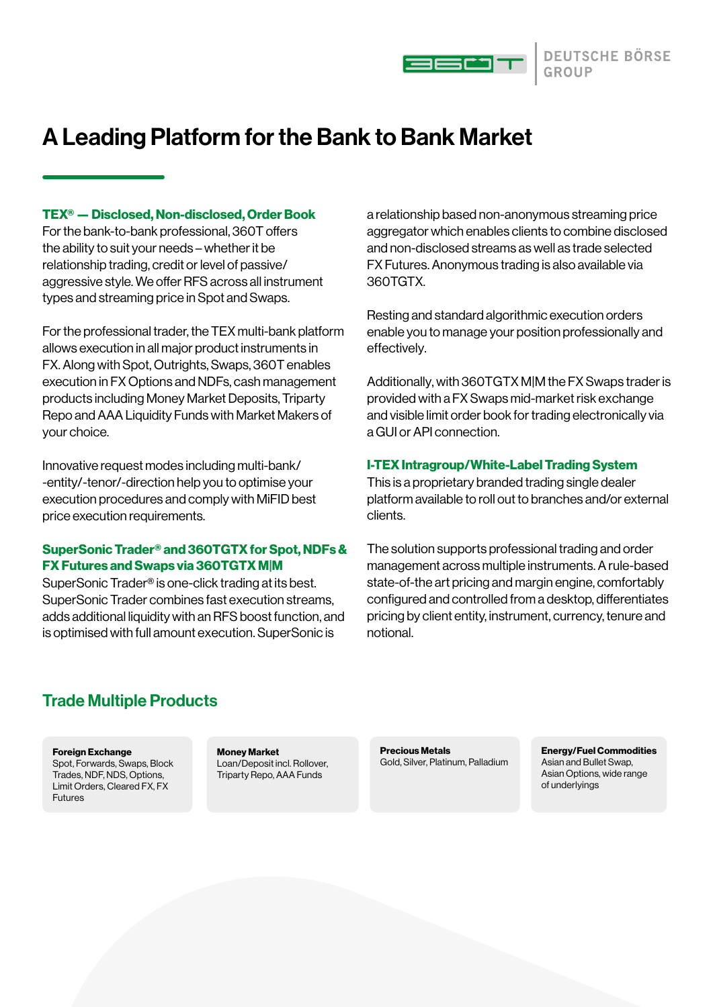

# A Leading Platform for the Bank to Bank Market

#### TEX® — Disclosed, Non-disclosed, Order Book

For the bank-to-bank professional, 360T offers the ability to suit your needs – whether it be relationship trading, credit or level of passive/ aggressive style. We offer RFS across all instrument types and streaming price in Spot and Swaps.

For the professional trader, the TEX multi-bank platform allows execution in all major product instruments in FX. Along with Spot, Outrights, Swaps, 360T enables execution in FX Options and NDFs, cash management products including Money Market Deposits, Triparty Repo and AAA Liquidity Funds with Market Makers of your choice.

Innovative request modes including multi-bank/ -entity/-tenor/-direction help you to optimise your execution procedures and comply with MiFID best price execution requirements.

#### SuperSonic Trader® and 360TGTX for Spot, NDFs & FX Futures and Swaps via 360TGTX M|M

SuperSonic Trader® is one-click trading at its best. SuperSonic Trader combines fast execution streams, adds additional liquidity with an RFS boost function, and is optimised with full amount execution. SuperSonic is

a relationship based non-anonymous streaming price aggregator which enables clients to combine disclosed and non-disclosed streams as well as trade selected FX Futures. Anonymous trading is also available via 360TGTX.

Resting and standard algorithmic execution orders enable you to manage your position professionally and effectively.

Additionally, with 360TGTX M|M the FX Swaps trader is provided with a FX Swaps mid-market risk exchange and visible limit order book for trading electronically via a GUI or API connection.

#### I-TEX Intragroup/White-Label Trading System

This is a proprietary branded trading single dealer platform available to roll out to branches and/or external clients.

The solution supports professional trading and order management across multiple instruments. A rule-based state-of-the art pricing and margin engine, comfortably configured and controlled from a desktop, differentiates pricing by client entity, instrument, currency, tenure and notional.

## Trade Multiple Products

#### Foreign Exchange

Spot, Forwards, Swaps, Block Trades, NDF, NDS, Options, Limit Orders, Cleared FX, FX Futures

Money Market Loan/Deposit incl. Rollover, Triparty Repo, AAA Funds

Precious Metals Gold, Silver, Platinum, Palladium Energy/Fuel Commodities Asian and Bullet Swap, Asian Options, wide range of underlyings